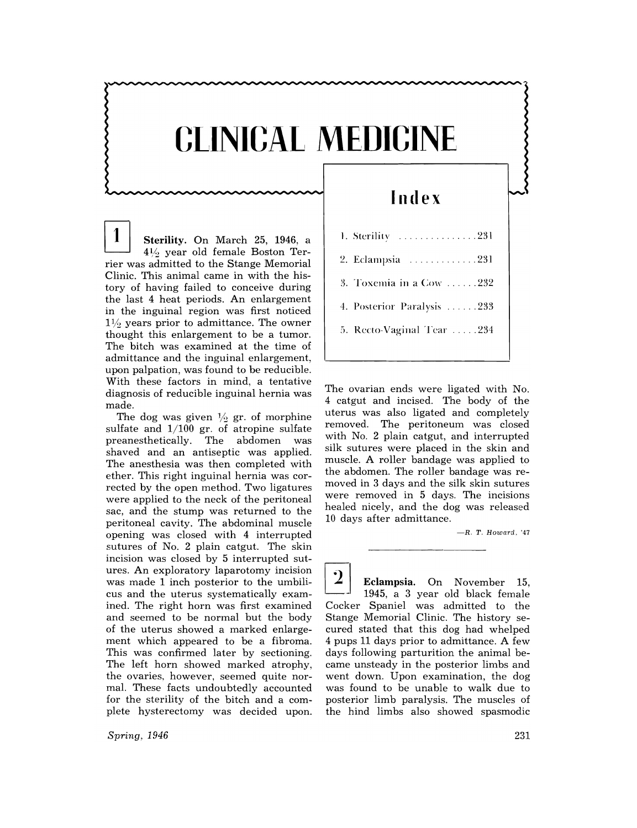## **CLINICAL MEDICINE**

 $\mathbf 1$ Sterility. On March 25, 1946, a  $4\frac{1}{2}$  year old female Boston Terrier was admitted to the Stange Memorial Clinic. This animal came in with the history of having failed to conceive during the last 4 heat periods. An enlargement in the inguinal region was first noticed  $1\frac{1}{2}$  years prior to admittance. The owner thought this enlargement to be a tumor. The bitch was examined at the time of admittance and the inguinal enlargement, upon palpation, was found to be reducible. With these factors in mind, a tentative diagnosis of reducible inguinal hernia was made.

The dog was given  $\frac{1}{2}$  gr. of morphine sulfate and  $1/100$  gr. of atropine sulfate preanesthetically. The abdomen was shaved and an antiseptic was applied. The anesthesia was then completed with ether. This right inguinal hernia was corrected by the open method. Two ligatures were applied to the neck of the peritoneal sac, and the stump was returned to the peritoneal cavity. The abdominal muscle opening was closed with 4 interrupted sutures of No. 2 plain catgut. The skin incision was closed by 5 interrupted sutures. An exploratory laparotomy incision was made 1 inch posterior to the umbilicus and the uterus systematically examined. The right horn was first examined and seemed to be normal but the body of the uterus showed a marked enlargement which appeared to be a fibroma. This was confirmed later by sectioning. The left horn showed marked atrophy, the ovaries, however, seemed quite normal. These facts undoubtedly accounted for the sterility of the bitch and a complete hysterectomy was decided upon.

Spring, 1946

## Index

- 1. Sterility ................231
- 2. Eclampsia .............231
- 3. Toxemia in a Cow ......232
- 4. Posterior Paralysis ......233
- 5. Recto-Vaginal Tear .....234

The ovarian ends were ligated with No. 4 catgut and incised. The body of the uterus was also ligated and completely removed. The peritoneum was closed with No. 2 plain catgut, and interrupted silk sutures were placed in the skin and muscle. A roller bandage was applied to the abdomen. The roller bandage was removed in 3 days and the silk skin sutures were removed in 5 days. The incisions healed nicely, and the dog was released 10 days after admittance.

 $-R. T. Howard, '47$ 

 $\overline{\mathbf{2}}$ Eclampsia. On November 15, 1945, a 3 year old black female Cocker Spaniel was admitted to the Stange Memorial Clinic. The history secured stated that this dog had whelped 4 pups 11 days prior to admittance. A few days following parturition the animal became unsteady in the posterior limbs and went down. Upon examination, the dog was found to be unable to walk due to posterior limb paralysis. The muscles of the hind limbs also showed spasmodic